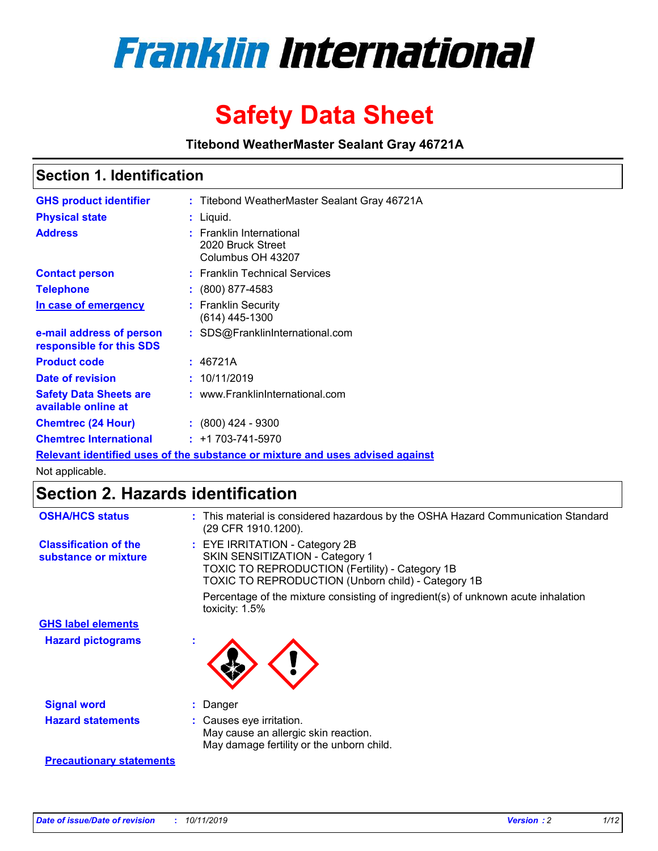

# **Safety Data Sheet**

**Titebond WeatherMaster Sealant Gray 46721A**

### **Section 1. Identification**

| <b>GHS product identifier</b>                        | : Titebond WeatherMaster Sealant Gray 46721A                                  |
|------------------------------------------------------|-------------------------------------------------------------------------------|
| <b>Physical state</b>                                | : Liquid.                                                                     |
| <b>Address</b>                                       | : Franklin International<br>2020 Bruck Street<br>Columbus OH 43207            |
| <b>Contact person</b>                                | : Franklin Technical Services                                                 |
| <b>Telephone</b>                                     | $\colon$ (800) 877-4583                                                       |
| In case of emergency                                 | : Franklin Security<br>(614) 445-1300                                         |
| e-mail address of person<br>responsible for this SDS | : SDS@FranklinInternational.com                                               |
| <b>Product code</b>                                  | : 46721A                                                                      |
| Date of revision                                     | : 10/11/2019                                                                  |
| <b>Safety Data Sheets are</b><br>available online at | : www.FranklinInternational.com                                               |
| <b>Chemtrec (24 Hour)</b>                            | $\div$ (800) 424 - 9300                                                       |
| <b>Chemtrec International</b>                        | $: +1703 - 741 - 5970$                                                        |
|                                                      | Relevant identified uses of the substance or mixture and uses advised against |

Not applicable.

## **Section 2. Hazards identification**

| <b>OSHA/HCS status</b>                               | : This material is considered hazardous by the OSHA Hazard Communication Standard<br>(29 CFR 1910.1200).                                                                                 |
|------------------------------------------------------|------------------------------------------------------------------------------------------------------------------------------------------------------------------------------------------|
| <b>Classification of the</b><br>substance or mixture | : EYE IRRITATION - Category 2B<br>SKIN SENSITIZATION - Category 1<br><b>TOXIC TO REPRODUCTION (Fertility) - Category 1B</b><br><b>TOXIC TO REPRODUCTION (Unborn child) - Category 1B</b> |
|                                                      | Percentage of the mixture consisting of ingredient(s) of unknown acute inhalation<br>toxicity: $1.5\%$                                                                                   |
| <b>GHS label elements</b>                            |                                                                                                                                                                                          |
| <b>Hazard pictograms</b>                             |                                                                                                                                                                                          |
| <b>Signal word</b>                                   | : Danger                                                                                                                                                                                 |
| <b>Hazard statements</b>                             | : Causes eye irritation.<br>May cause an allergic skin reaction.<br>May damage fertility or the unborn child.                                                                            |
| <b>Precautionary statements</b>                      |                                                                                                                                                                                          |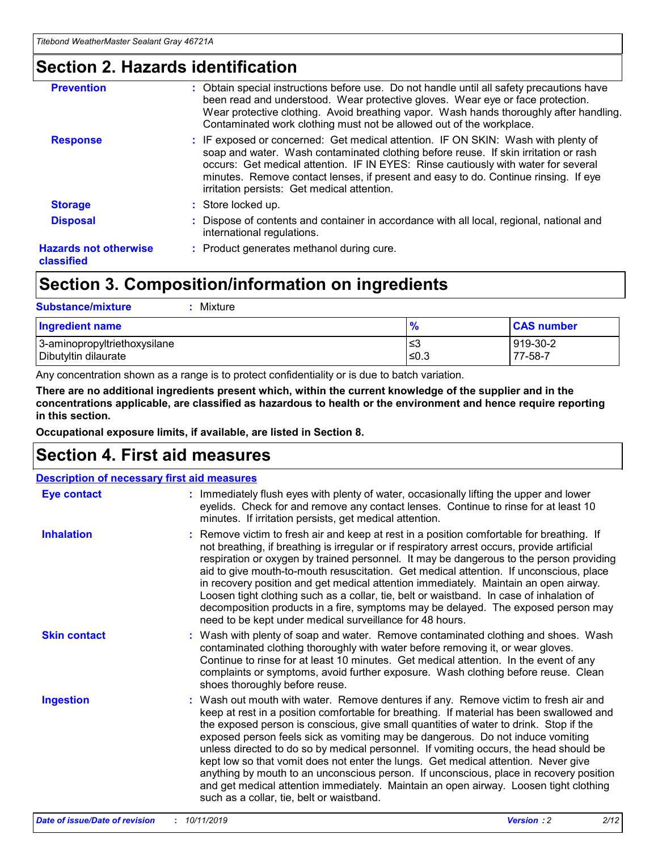### **Section 2. Hazards identification**

| <b>Prevention</b>                          | : Obtain special instructions before use. Do not handle until all safety precautions have<br>been read and understood. Wear protective gloves. Wear eye or face protection.<br>Wear protective clothing. Avoid breathing vapor. Wash hands thoroughly after handling.<br>Contaminated work clothing must not be allowed out of the workplace.                                                        |
|--------------------------------------------|------------------------------------------------------------------------------------------------------------------------------------------------------------------------------------------------------------------------------------------------------------------------------------------------------------------------------------------------------------------------------------------------------|
| <b>Response</b>                            | : IF exposed or concerned: Get medical attention. IF ON SKIN: Wash with plenty of<br>soap and water. Wash contaminated clothing before reuse. If skin irritation or rash<br>occurs: Get medical attention. IF IN EYES: Rinse cautiously with water for several<br>minutes. Remove contact lenses, if present and easy to do. Continue rinsing. If eye<br>irritation persists: Get medical attention. |
| <b>Storage</b>                             | : Store locked up.                                                                                                                                                                                                                                                                                                                                                                                   |
| <b>Disposal</b>                            | : Dispose of contents and container in accordance with all local, regional, national and<br>international regulations.                                                                                                                                                                                                                                                                               |
| <b>Hazards not otherwise</b><br>classified | : Product generates methanol during cure.                                                                                                                                                                                                                                                                                                                                                            |
|                                            |                                                                                                                                                                                                                                                                                                                                                                                                      |

### **Section 3. Composition/information on ingredients**

| <b>Substance/mixture</b><br>: Mixture                |               |                     |
|------------------------------------------------------|---------------|---------------------|
| Ingredient name                                      | $\frac{9}{6}$ | <b>CAS number</b>   |
| 3-aminopropyltriethoxysilane<br>Dibutyltin dilaurate | צ≥<br>≤0.3    | 919-30-2<br>77-58-7 |

Any concentration shown as a range is to protect confidentiality or is due to batch variation.

**There are no additional ingredients present which, within the current knowledge of the supplier and in the concentrations applicable, are classified as hazardous to health or the environment and hence require reporting in this section.**

**Occupational exposure limits, if available, are listed in Section 8.**

### **Section 4. First aid measures**

| <b>Description of necessary first aid measures</b> |                                                                                                                                                                                                                                                                                                                                                                                                                                                                                                                                                                                                                                                                                                                                                                           |  |  |  |
|----------------------------------------------------|---------------------------------------------------------------------------------------------------------------------------------------------------------------------------------------------------------------------------------------------------------------------------------------------------------------------------------------------------------------------------------------------------------------------------------------------------------------------------------------------------------------------------------------------------------------------------------------------------------------------------------------------------------------------------------------------------------------------------------------------------------------------------|--|--|--|
| <b>Eye contact</b>                                 | : Immediately flush eyes with plenty of water, occasionally lifting the upper and lower<br>eyelids. Check for and remove any contact lenses. Continue to rinse for at least 10<br>minutes. If irritation persists, get medical attention.                                                                                                                                                                                                                                                                                                                                                                                                                                                                                                                                 |  |  |  |
| <b>Inhalation</b>                                  | : Remove victim to fresh air and keep at rest in a position comfortable for breathing. If<br>not breathing, if breathing is irregular or if respiratory arrest occurs, provide artificial<br>respiration or oxygen by trained personnel. It may be dangerous to the person providing<br>aid to give mouth-to-mouth resuscitation. Get medical attention. If unconscious, place<br>in recovery position and get medical attention immediately. Maintain an open airway.<br>Loosen tight clothing such as a collar, tie, belt or waistband. In case of inhalation of<br>decomposition products in a fire, symptoms may be delayed. The exposed person may<br>need to be kept under medical surveillance for 48 hours.                                                       |  |  |  |
| <b>Skin contact</b>                                | : Wash with plenty of soap and water. Remove contaminated clothing and shoes. Wash<br>contaminated clothing thoroughly with water before removing it, or wear gloves.<br>Continue to rinse for at least 10 minutes. Get medical attention. In the event of any<br>complaints or symptoms, avoid further exposure. Wash clothing before reuse. Clean<br>shoes thoroughly before reuse.                                                                                                                                                                                                                                                                                                                                                                                     |  |  |  |
| <b>Ingestion</b>                                   | : Wash out mouth with water. Remove dentures if any. Remove victim to fresh air and<br>keep at rest in a position comfortable for breathing. If material has been swallowed and<br>the exposed person is conscious, give small quantities of water to drink. Stop if the<br>exposed person feels sick as vomiting may be dangerous. Do not induce vomiting<br>unless directed to do so by medical personnel. If vomiting occurs, the head should be<br>kept low so that vomit does not enter the lungs. Get medical attention. Never give<br>anything by mouth to an unconscious person. If unconscious, place in recovery position<br>and get medical attention immediately. Maintain an open airway. Loosen tight clothing<br>such as a collar, tie, belt or waistband. |  |  |  |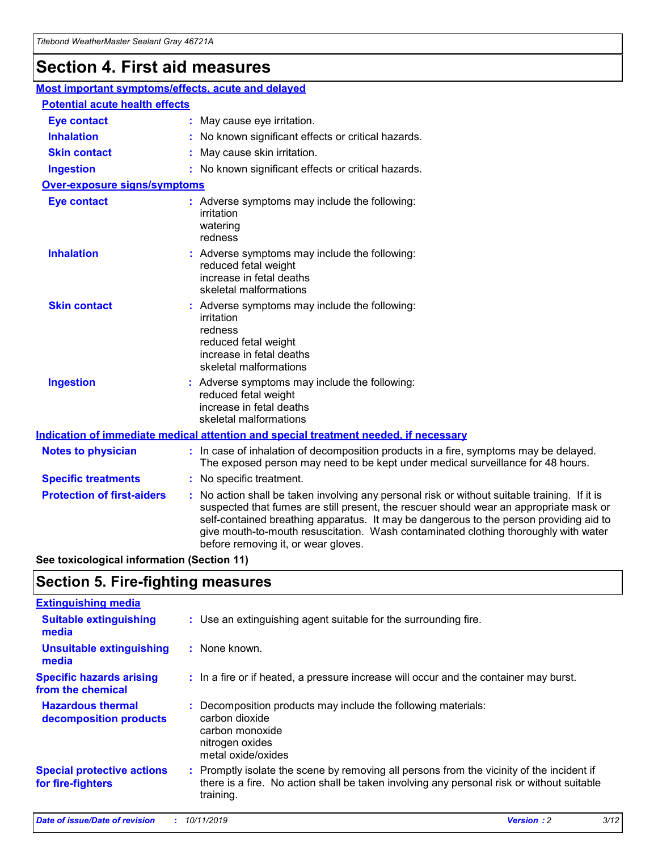## **Section 4. First aid measures**

| Most important symptoms/effects, acute and delayed |                                       |                                                                                                                                                                                                                                                                                                                                                                                                                 |  |  |  |
|----------------------------------------------------|---------------------------------------|-----------------------------------------------------------------------------------------------------------------------------------------------------------------------------------------------------------------------------------------------------------------------------------------------------------------------------------------------------------------------------------------------------------------|--|--|--|
|                                                    | <b>Potential acute health effects</b> |                                                                                                                                                                                                                                                                                                                                                                                                                 |  |  |  |
| <b>Eye contact</b>                                 |                                       | : May cause eye irritation.                                                                                                                                                                                                                                                                                                                                                                                     |  |  |  |
| <b>Inhalation</b>                                  |                                       | : No known significant effects or critical hazards.                                                                                                                                                                                                                                                                                                                                                             |  |  |  |
| <b>Skin contact</b>                                |                                       | : May cause skin irritation.                                                                                                                                                                                                                                                                                                                                                                                    |  |  |  |
| <b>Ingestion</b>                                   |                                       | : No known significant effects or critical hazards.                                                                                                                                                                                                                                                                                                                                                             |  |  |  |
| Over-exposure signs/symptoms                       |                                       |                                                                                                                                                                                                                                                                                                                                                                                                                 |  |  |  |
| <b>Eye contact</b>                                 |                                       | : Adverse symptoms may include the following:<br>irritation<br>watering<br>redness                                                                                                                                                                                                                                                                                                                              |  |  |  |
| <b>Inhalation</b>                                  |                                       | : Adverse symptoms may include the following:<br>reduced fetal weight<br>increase in fetal deaths<br>skeletal malformations                                                                                                                                                                                                                                                                                     |  |  |  |
| <b>Skin contact</b>                                |                                       | : Adverse symptoms may include the following:<br>irritation<br>redness<br>reduced fetal weight<br>increase in fetal deaths<br>skeletal malformations                                                                                                                                                                                                                                                            |  |  |  |
| <b>Ingestion</b>                                   |                                       | : Adverse symptoms may include the following:<br>reduced fetal weight<br>increase in fetal deaths<br>skeletal malformations                                                                                                                                                                                                                                                                                     |  |  |  |
|                                                    |                                       | <b>Indication of immediate medical attention and special treatment needed, if necessary</b>                                                                                                                                                                                                                                                                                                                     |  |  |  |
| <b>Notes to physician</b>                          |                                       | : In case of inhalation of decomposition products in a fire, symptoms may be delayed.<br>The exposed person may need to be kept under medical surveillance for 48 hours.                                                                                                                                                                                                                                        |  |  |  |
| <b>Specific treatments</b>                         |                                       | : No specific treatment.                                                                                                                                                                                                                                                                                                                                                                                        |  |  |  |
| <b>Protection of first-aiders</b>                  |                                       | : No action shall be taken involving any personal risk or without suitable training. If it is<br>suspected that fumes are still present, the rescuer should wear an appropriate mask or<br>self-contained breathing apparatus. It may be dangerous to the person providing aid to<br>give mouth-to-mouth resuscitation. Wash contaminated clothing thoroughly with water<br>before removing it, or wear gloves. |  |  |  |

**See toxicological information (Section 11)**

### **Section 5. Fire-fighting measures**

| <b>Extinguishing media</b>                             |                                                                                                                                                                                                     |
|--------------------------------------------------------|-----------------------------------------------------------------------------------------------------------------------------------------------------------------------------------------------------|
| <b>Suitable extinguishing</b><br>media                 | : Use an extinguishing agent suitable for the surrounding fire.                                                                                                                                     |
| <b>Unsuitable extinguishing</b><br>media               | $:$ None known.                                                                                                                                                                                     |
| <b>Specific hazards arising</b><br>from the chemical   | : In a fire or if heated, a pressure increase will occur and the container may burst.                                                                                                               |
| <b>Hazardous thermal</b><br>decomposition products     | : Decomposition products may include the following materials:<br>carbon dioxide<br>carbon monoxide<br>nitrogen oxides<br>metal oxide/oxides                                                         |
| <b>Special protective actions</b><br>for fire-fighters | : Promptly isolate the scene by removing all persons from the vicinity of the incident if<br>there is a fire. No action shall be taken involving any personal risk or without suitable<br>training. |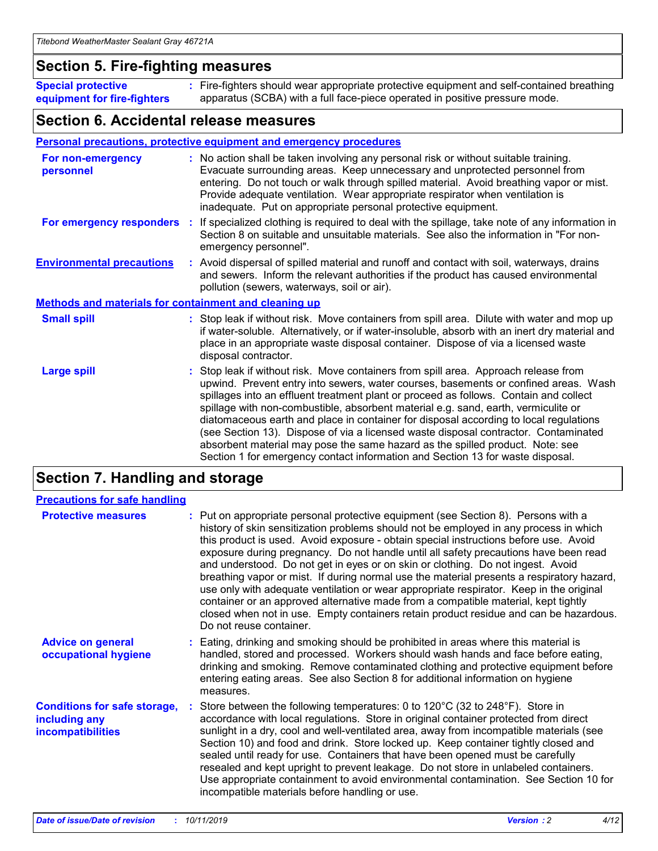### **Section 5. Fire-fighting measures**

**Special protective equipment for fire-fighters** Fire-fighters should wear appropriate protective equipment and self-contained breathing **:** apparatus (SCBA) with a full face-piece operated in positive pressure mode.

### **Section 6. Accidental release measures**

#### **Personal precautions, protective equipment and emergency procedures**

| For non-emergency<br>personnel                               | : No action shall be taken involving any personal risk or without suitable training.<br>Evacuate surrounding areas. Keep unnecessary and unprotected personnel from<br>entering. Do not touch or walk through spilled material. Avoid breathing vapor or mist.<br>Provide adequate ventilation. Wear appropriate respirator when ventilation is<br>inadequate. Put on appropriate personal protective equipment.                                                                                                                                                                                                                                                                                             |
|--------------------------------------------------------------|--------------------------------------------------------------------------------------------------------------------------------------------------------------------------------------------------------------------------------------------------------------------------------------------------------------------------------------------------------------------------------------------------------------------------------------------------------------------------------------------------------------------------------------------------------------------------------------------------------------------------------------------------------------------------------------------------------------|
|                                                              | For emergency responders : If specialized clothing is required to deal with the spillage, take note of any information in<br>Section 8 on suitable and unsuitable materials. See also the information in "For non-<br>emergency personnel".                                                                                                                                                                                                                                                                                                                                                                                                                                                                  |
| <b>Environmental precautions</b>                             | : Avoid dispersal of spilled material and runoff and contact with soil, waterways, drains<br>and sewers. Inform the relevant authorities if the product has caused environmental<br>pollution (sewers, waterways, soil or air).                                                                                                                                                                                                                                                                                                                                                                                                                                                                              |
| <b>Methods and materials for containment and cleaning up</b> |                                                                                                                                                                                                                                                                                                                                                                                                                                                                                                                                                                                                                                                                                                              |
| <b>Small spill</b>                                           | : Stop leak if without risk. Move containers from spill area. Dilute with water and mop up<br>if water-soluble. Alternatively, or if water-insoluble, absorb with an inert dry material and<br>place in an appropriate waste disposal container. Dispose of via a licensed waste<br>disposal contractor.                                                                                                                                                                                                                                                                                                                                                                                                     |
| <b>Large spill</b>                                           | : Stop leak if without risk. Move containers from spill area. Approach release from<br>upwind. Prevent entry into sewers, water courses, basements or confined areas. Wash<br>spillages into an effluent treatment plant or proceed as follows. Contain and collect<br>spillage with non-combustible, absorbent material e.g. sand, earth, vermiculite or<br>diatomaceous earth and place in container for disposal according to local regulations<br>(see Section 13). Dispose of via a licensed waste disposal contractor. Contaminated<br>absorbent material may pose the same hazard as the spilled product. Note: see<br>Section 1 for emergency contact information and Section 13 for waste disposal. |

### **Section 7. Handling and storage**

| <b>Precautions for safe handling</b>                                             |                                                                                                                                                                                                                                                                                                                                                                                                                                                                                                                                                                                                                                                                                                                                                                                                                                                  |
|----------------------------------------------------------------------------------|--------------------------------------------------------------------------------------------------------------------------------------------------------------------------------------------------------------------------------------------------------------------------------------------------------------------------------------------------------------------------------------------------------------------------------------------------------------------------------------------------------------------------------------------------------------------------------------------------------------------------------------------------------------------------------------------------------------------------------------------------------------------------------------------------------------------------------------------------|
| <b>Protective measures</b>                                                       | : Put on appropriate personal protective equipment (see Section 8). Persons with a<br>history of skin sensitization problems should not be employed in any process in which<br>this product is used. Avoid exposure - obtain special instructions before use. Avoid<br>exposure during pregnancy. Do not handle until all safety precautions have been read<br>and understood. Do not get in eyes or on skin or clothing. Do not ingest. Avoid<br>breathing vapor or mist. If during normal use the material presents a respiratory hazard,<br>use only with adequate ventilation or wear appropriate respirator. Keep in the original<br>container or an approved alternative made from a compatible material, kept tightly<br>closed when not in use. Empty containers retain product residue and can be hazardous.<br>Do not reuse container. |
| <b>Advice on general</b><br>occupational hygiene                                 | : Eating, drinking and smoking should be prohibited in areas where this material is<br>handled, stored and processed. Workers should wash hands and face before eating,<br>drinking and smoking. Remove contaminated clothing and protective equipment before<br>entering eating areas. See also Section 8 for additional information on hygiene<br>measures.                                                                                                                                                                                                                                                                                                                                                                                                                                                                                    |
| <b>Conditions for safe storage,</b><br>including any<br><b>incompatibilities</b> | Store between the following temperatures: 0 to 120°C (32 to 248°F). Store in<br>accordance with local regulations. Store in original container protected from direct<br>sunlight in a dry, cool and well-ventilated area, away from incompatible materials (see<br>Section 10) and food and drink. Store locked up. Keep container tightly closed and<br>sealed until ready for use. Containers that have been opened must be carefully<br>resealed and kept upright to prevent leakage. Do not store in unlabeled containers.<br>Use appropriate containment to avoid environmental contamination. See Section 10 for<br>incompatible materials before handling or use.                                                                                                                                                                         |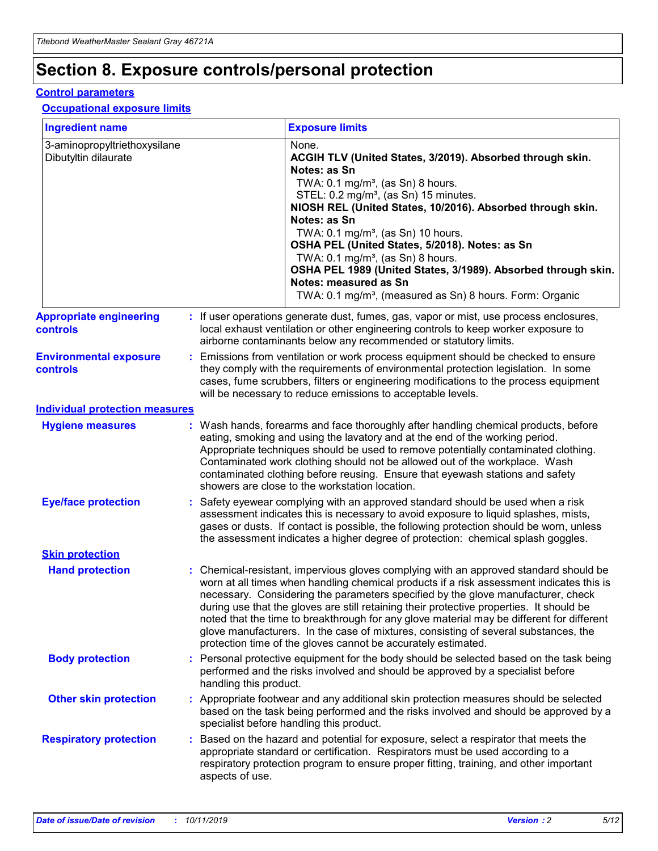## **Section 8. Exposure controls/personal protection**

#### **Control parameters**

#### **Occupational exposure limits**

| <b>Ingredient name</b>                               |    |                        | <b>Exposure limits</b>                                                                                                                                                                                                                                                                                                                                                                                                                                                                                                                                                                                                 |
|------------------------------------------------------|----|------------------------|------------------------------------------------------------------------------------------------------------------------------------------------------------------------------------------------------------------------------------------------------------------------------------------------------------------------------------------------------------------------------------------------------------------------------------------------------------------------------------------------------------------------------------------------------------------------------------------------------------------------|
| 3-aminopropyltriethoxysilane<br>Dibutyltin dilaurate |    |                        | None.<br>ACGIH TLV (United States, 3/2019). Absorbed through skin.<br>Notes: as Sn<br>TWA: $0.1 \text{ mg/m}^3$ , (as Sn) 8 hours.<br>STEL: 0.2 mg/m <sup>3</sup> , (as Sn) 15 minutes.<br>NIOSH REL (United States, 10/2016). Absorbed through skin.<br>Notes: as Sn<br>TWA: 0.1 mg/m <sup>3</sup> , (as Sn) 10 hours.<br>OSHA PEL (United States, 5/2018). Notes: as Sn<br>TWA: $0.1 \text{ mg/m}^3$ , (as Sn) 8 hours.<br>OSHA PEL 1989 (United States, 3/1989). Absorbed through skin.<br>Notes: measured as Sn<br>TWA: 0.1 mg/m <sup>3</sup> , (measured as Sn) 8 hours. Form: Organic                            |
| <b>Appropriate engineering</b><br>controls           |    |                        | : If user operations generate dust, fumes, gas, vapor or mist, use process enclosures,<br>local exhaust ventilation or other engineering controls to keep worker exposure to<br>airborne contaminants below any recommended or statutory limits.                                                                                                                                                                                                                                                                                                                                                                       |
| <b>Environmental exposure</b><br>controls            |    |                        | Emissions from ventilation or work process equipment should be checked to ensure<br>they comply with the requirements of environmental protection legislation. In some<br>cases, fume scrubbers, filters or engineering modifications to the process equipment<br>will be necessary to reduce emissions to acceptable levels.                                                                                                                                                                                                                                                                                          |
| <b>Individual protection measures</b>                |    |                        |                                                                                                                                                                                                                                                                                                                                                                                                                                                                                                                                                                                                                        |
| <b>Hygiene measures</b>                              |    |                        | : Wash hands, forearms and face thoroughly after handling chemical products, before<br>eating, smoking and using the lavatory and at the end of the working period.<br>Appropriate techniques should be used to remove potentially contaminated clothing.<br>Contaminated work clothing should not be allowed out of the workplace. Wash<br>contaminated clothing before reusing. Ensure that eyewash stations and safety<br>showers are close to the workstation location.                                                                                                                                            |
| <b>Eye/face protection</b>                           |    |                        | : Safety eyewear complying with an approved standard should be used when a risk<br>assessment indicates this is necessary to avoid exposure to liquid splashes, mists,<br>gases or dusts. If contact is possible, the following protection should be worn, unless<br>the assessment indicates a higher degree of protection: chemical splash goggles.                                                                                                                                                                                                                                                                  |
| <b>Skin protection</b>                               |    |                        |                                                                                                                                                                                                                                                                                                                                                                                                                                                                                                                                                                                                                        |
| <b>Hand protection</b>                               |    |                        | : Chemical-resistant, impervious gloves complying with an approved standard should be<br>worn at all times when handling chemical products if a risk assessment indicates this is<br>necessary. Considering the parameters specified by the glove manufacturer, check<br>during use that the gloves are still retaining their protective properties. It should be<br>noted that the time to breakthrough for any glove material may be different for different<br>glove manufacturers. In the case of mixtures, consisting of several substances, the<br>protection time of the gloves cannot be accurately estimated. |
| <b>Body protection</b>                               |    | handling this product. | Personal protective equipment for the body should be selected based on the task being<br>performed and the risks involved and should be approved by a specialist before                                                                                                                                                                                                                                                                                                                                                                                                                                                |
| <b>Other skin protection</b>                         |    |                        | : Appropriate footwear and any additional skin protection measures should be selected<br>based on the task being performed and the risks involved and should be approved by a<br>specialist before handling this product.                                                                                                                                                                                                                                                                                                                                                                                              |
| <b>Respiratory protection</b>                        | ÷. | aspects of use.        | Based on the hazard and potential for exposure, select a respirator that meets the<br>appropriate standard or certification. Respirators must be used according to a<br>respiratory protection program to ensure proper fitting, training, and other important                                                                                                                                                                                                                                                                                                                                                         |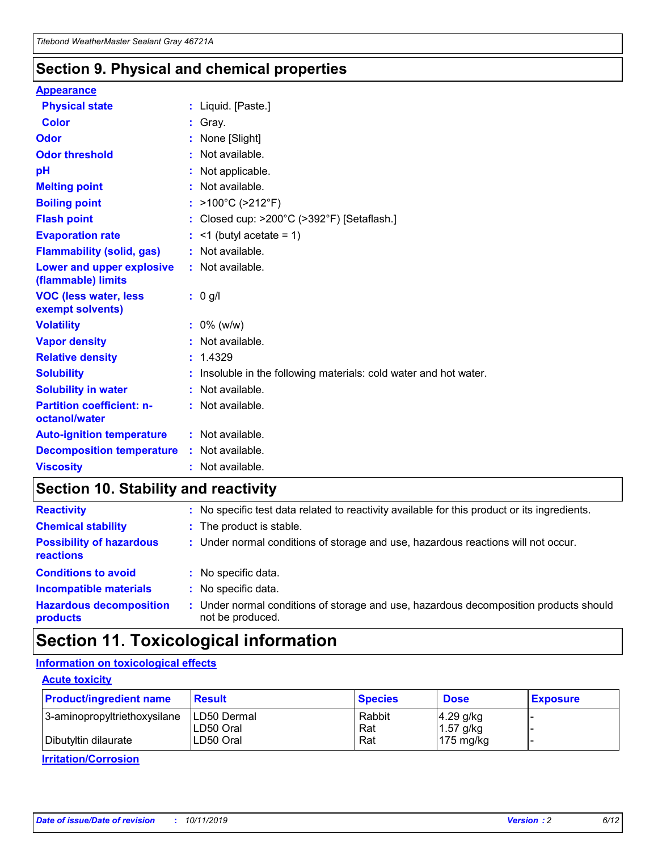### **Section 9. Physical and chemical properties**

#### **Appearance**

| <b>Physical state</b>                             | : Liquid. [Paste.]                                                |
|---------------------------------------------------|-------------------------------------------------------------------|
| Color                                             | Gray.                                                             |
| Odor                                              | None [Slight]                                                     |
| <b>Odor threshold</b>                             | : Not available.                                                  |
| рH                                                | : Not applicable.                                                 |
| <b>Melting point</b>                              | : Not available.                                                  |
| <b>Boiling point</b>                              | : $>100^{\circ}$ C ( $>212^{\circ}$ F)                            |
| <b>Flash point</b>                                | : Closed cup: $>200^{\circ}$ C ( $>392^{\circ}$ F) [Setaflash.]   |
| <b>Evaporation rate</b>                           | $:$ <1 (butyl acetate = 1)                                        |
| <b>Flammability (solid, gas)</b>                  | : Not available.                                                  |
| Lower and upper explosive<br>(flammable) limits   | : Not available.                                                  |
| <b>VOC (less water, less</b><br>exempt solvents)  | $: 0$ g/l                                                         |
| <b>Volatility</b>                                 | $: 0\%$ (w/w)                                                     |
| <b>Vapor density</b>                              | : Not available.                                                  |
| <b>Relative density</b>                           | : 1.4329                                                          |
| <b>Solubility</b>                                 | : Insoluble in the following materials: cold water and hot water. |
| <b>Solubility in water</b>                        | : Not available.                                                  |
| <b>Partition coefficient: n-</b><br>octanol/water | : Not available.                                                  |
| <b>Auto-ignition temperature</b>                  | $:$ Not available.                                                |
| <b>Decomposition temperature</b>                  | : Not available.                                                  |
| <b>Viscosity</b>                                  | : Not available.                                                  |

### **Section 10. Stability and reactivity**

| <b>Reactivity</b>                            |    | : No specific test data related to reactivity available for this product or its ingredients.            |
|----------------------------------------------|----|---------------------------------------------------------------------------------------------------------|
| <b>Chemical stability</b>                    |    | : The product is stable.                                                                                |
| <b>Possibility of hazardous</b><br>reactions |    | : Under normal conditions of storage and use, hazardous reactions will not occur.                       |
| <b>Conditions to avoid</b>                   |    | : No specific data.                                                                                     |
| <b>Incompatible materials</b>                | ٠. | No specific data.                                                                                       |
| <b>Hazardous decomposition</b><br>products   | ÷. | Under normal conditions of storage and use, hazardous decomposition products should<br>not be produced. |

## **Section 11. Toxicological information**

### **Information on toxicological effects**

#### **Acute toxicity**

| <b>Product/ingredient name</b> | <b>Result</b>           | <b>Species</b> | <b>Dose</b>                | <b>Exposure</b> |
|--------------------------------|-------------------------|----------------|----------------------------|-----------------|
| 3-aminopropyltriethoxysilane   | <b>ILD50 Dermal</b>     | Rabbit         | 4.29 g/kg                  |                 |
| Dibutyltin dilaurate           | ILD50 Oral<br>LD50 Oral | Rat<br>Rat     | $1.57$ g/kg<br>175 $mg/kg$ |                 |
|                                |                         |                |                            |                 |

**Irritation/Corrosion**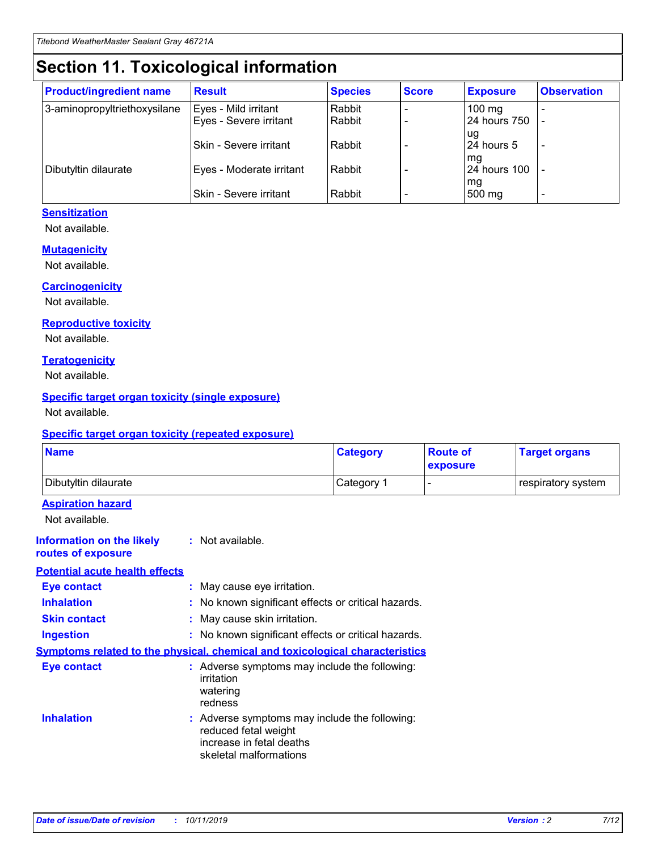## **Section 11. Toxicological information**

| <b>Product/ingredient name</b> | <b>Result</b>            | <b>Species</b> | <b>Score</b> | <b>Exposure</b>           | <b>Observation</b> |
|--------------------------------|--------------------------|----------------|--------------|---------------------------|--------------------|
| 3-aminopropyltriethoxysilane   | Eyes - Mild irritant     | Rabbit         |              | $100$ mg                  |                    |
|                                | Eyes - Severe irritant   | Rabbit         |              | 24 hours 750              |                    |
|                                |                          |                |              | ug                        |                    |
|                                | Skin - Severe irritant   | Rabbit         |              | 24 hours 5                | -                  |
| Dibutyltin dilaurate           | Eyes - Moderate irritant | Rabbit         |              | mq<br><b>24 hours 100</b> |                    |
|                                |                          |                |              | mg                        |                    |
|                                | Skin - Severe irritant   | Rabbit         |              | 500 mg                    |                    |

#### **Sensitization**

Not available.

#### **Mutagenicity**

Not available.

#### **Carcinogenicity**

Not available.

#### **Reproductive toxicity**

Not available.

#### **Teratogenicity**

Not available.

#### **Specific target organ toxicity (single exposure)**

Not available.

#### **Specific target organ toxicity (repeated exposure)**

| <b>Name</b>                                                                  |                                                                                                                             | <b>Category</b> | <b>Route of</b><br>exposure | <b>Target organs</b> |
|------------------------------------------------------------------------------|-----------------------------------------------------------------------------------------------------------------------------|-----------------|-----------------------------|----------------------|
| Dibutyltin dilaurate                                                         |                                                                                                                             | Category 1      |                             | respiratory system   |
| <b>Aspiration hazard</b><br>Not available.                                   |                                                                                                                             |                 |                             |                      |
| <b>Information on the likely</b><br>routes of exposure                       | : Not available.                                                                                                            |                 |                             |                      |
| <b>Potential acute health effects</b>                                        |                                                                                                                             |                 |                             |                      |
| <b>Eye contact</b>                                                           | : May cause eye irritation.                                                                                                 |                 |                             |                      |
| <b>Inhalation</b>                                                            | : No known significant effects or critical hazards.                                                                         |                 |                             |                      |
| <b>Skin contact</b>                                                          | : May cause skin irritation.                                                                                                |                 |                             |                      |
| <b>Ingestion</b>                                                             | : No known significant effects or critical hazards.                                                                         |                 |                             |                      |
| Symptoms related to the physical, chemical and toxicological characteristics |                                                                                                                             |                 |                             |                      |
| <b>Eye contact</b>                                                           | : Adverse symptoms may include the following:<br>irritation<br>watering<br>redness                                          |                 |                             |                      |
| <b>Inhalation</b>                                                            | : Adverse symptoms may include the following:<br>reduced fetal weight<br>increase in fetal deaths<br>skeletal malformations |                 |                             |                      |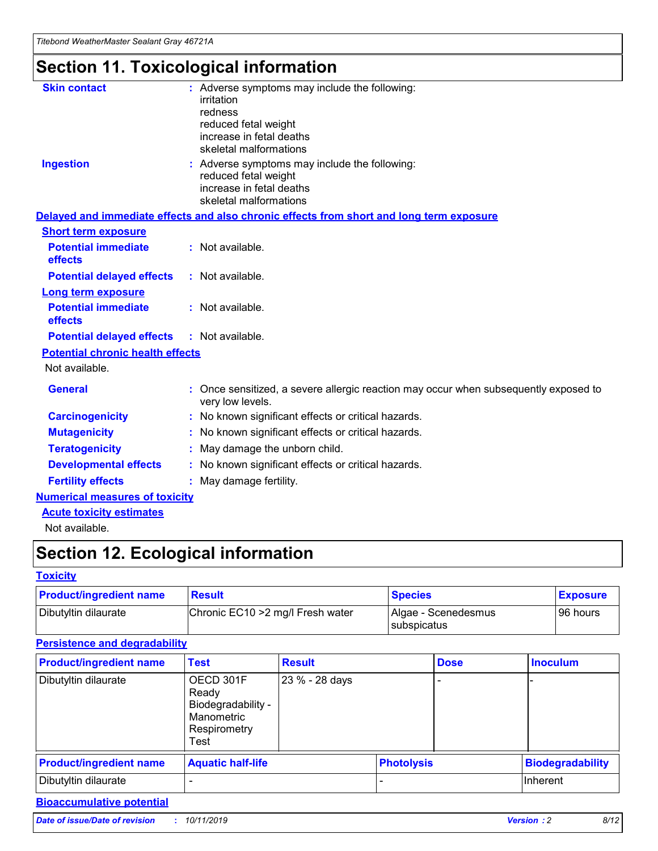## **Section 11. Toxicological information**

| <b>Skin contact</b>                     | : Adverse symptoms may include the following:<br>irritation<br>redness<br>reduced fetal weight<br>increase in fetal deaths<br>skeletal malformations |
|-----------------------------------------|------------------------------------------------------------------------------------------------------------------------------------------------------|
| <b>Ingestion</b>                        | : Adverse symptoms may include the following:<br>reduced fetal weight<br>increase in fetal deaths<br>skeletal malformations                          |
|                                         | Delayed and immediate effects and also chronic effects from short and long term exposure                                                             |
| <b>Short term exposure</b>              |                                                                                                                                                      |
| <b>Potential immediate</b><br>effects   | : Not available.                                                                                                                                     |
| <b>Potential delayed effects</b>        | : Not available.                                                                                                                                     |
| <b>Long term exposure</b>               |                                                                                                                                                      |
| <b>Potential immediate</b><br>effects   | : Not available.                                                                                                                                     |
| <b>Potential delayed effects</b>        | : Not available.                                                                                                                                     |
| <b>Potential chronic health effects</b> |                                                                                                                                                      |
| Not available.                          |                                                                                                                                                      |
| <b>General</b>                          | : Once sensitized, a severe allergic reaction may occur when subsequently exposed to<br>very low levels.                                             |
| <b>Carcinogenicity</b>                  | : No known significant effects or critical hazards.                                                                                                  |
| <b>Mutagenicity</b>                     | No known significant effects or critical hazards.                                                                                                    |
| <b>Teratogenicity</b>                   | May damage the unborn child.                                                                                                                         |
| <b>Developmental effects</b>            | No known significant effects or critical hazards.                                                                                                    |
| <b>Fertility effects</b>                | : May damage fertility.                                                                                                                              |
| <b>Numerical measures of toxicity</b>   |                                                                                                                                                      |
| <b>Acute toxicity estimates</b>         |                                                                                                                                                      |
|                                         |                                                                                                                                                      |

Not available.

## **Section 12. Ecological information**

#### **Toxicity**

| <b>Product/ingredient name</b> | <b>Result</b>                     | <b>Species</b>                       | <b>Exposure</b> |
|--------------------------------|-----------------------------------|--------------------------------------|-----------------|
| Dibutyltin dilaurate           | Chronic EC10 > 2 mg/l Fresh water | Algae - Scenedesmus<br>I subspicatus | l 96 hours      |

### **Persistence and degradability**

| <b>Product/ingredient name</b> | <b>Test</b>                                                                    | <b>Result</b>  |                   | <b>Dose</b> | <b>Inoculum</b>         |
|--------------------------------|--------------------------------------------------------------------------------|----------------|-------------------|-------------|-------------------------|
| Dibutyltin dilaurate           | OECD 301F<br>Ready<br>Biodegradability -<br>Manometric<br>Respirometry<br>Test | 23 % - 28 days |                   |             |                         |
| <b>Product/ingredient name</b> | <b>Aquatic half-life</b>                                                       |                | <b>Photolysis</b> |             | <b>Biodegradability</b> |
| Dibutyltin dilaurate           |                                                                                |                |                   |             | Inherent                |

### **Bioaccumulative potential**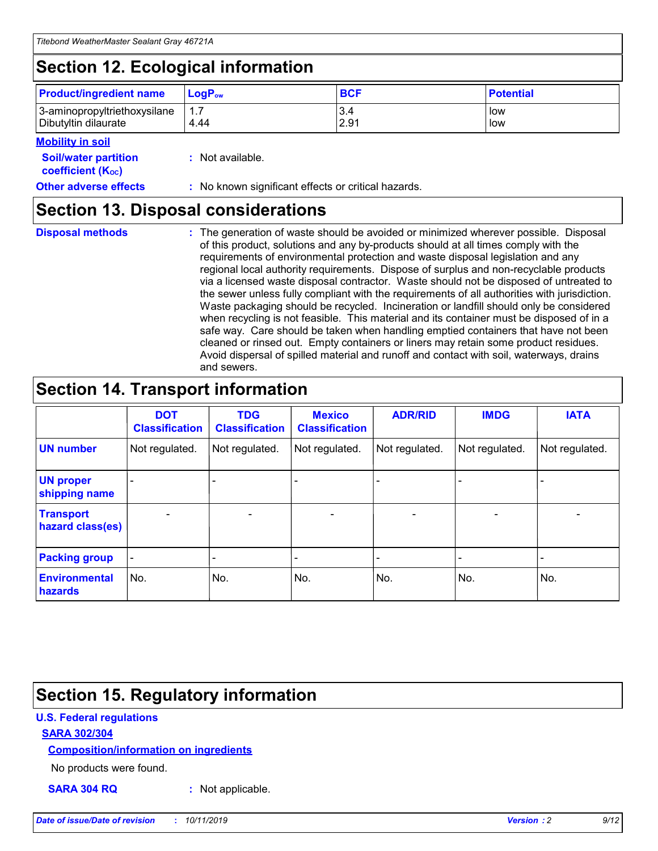## **Section 12. Ecological information**

| <b>Product/ingredient name</b> | $LoaPow$ | <b>BCF</b> | <b>Potential</b> |
|--------------------------------|----------|------------|------------------|
| 3-aminopropyltriethoxysilane   | 1.7      | 3.4        | low              |
| Dibutyltin dilaurate           | 4.44     | 2.91       | low              |

#### **Mobility in soil**

| <b>Soil/water partition</b><br>coefficient (K <sub>oc</sub> ) | : Not available.                                    |
|---------------------------------------------------------------|-----------------------------------------------------|
| <b>Other adverse effects</b>                                  | : No known significant effects or critical hazards. |

### **Section 13. Disposal considerations**

**Disposal methods :**

The generation of waste should be avoided or minimized wherever possible. Disposal of this product, solutions and any by-products should at all times comply with the requirements of environmental protection and waste disposal legislation and any regional local authority requirements. Dispose of surplus and non-recyclable products via a licensed waste disposal contractor. Waste should not be disposed of untreated to the sewer unless fully compliant with the requirements of all authorities with jurisdiction. Waste packaging should be recycled. Incineration or landfill should only be considered when recycling is not feasible. This material and its container must be disposed of in a safe way. Care should be taken when handling emptied containers that have not been cleaned or rinsed out. Empty containers or liners may retain some product residues. Avoid dispersal of spilled material and runoff and contact with soil, waterways, drains and sewers.

## **Section 14. Transport information**

|                                      | <b>DOT</b><br><b>Classification</b> | <b>TDG</b><br><b>Classification</b> | <b>Mexico</b><br><b>Classification</b> | <b>ADR/RID</b> | <b>IMDG</b>              | <b>IATA</b>              |
|--------------------------------------|-------------------------------------|-------------------------------------|----------------------------------------|----------------|--------------------------|--------------------------|
| <b>UN number</b>                     | Not regulated.                      | Not regulated.                      | Not regulated.                         | Not regulated. | Not regulated.           | Not regulated.           |
| <b>UN proper</b><br>shipping name    | $\blacksquare$                      |                                     |                                        |                |                          |                          |
| <b>Transport</b><br>hazard class(es) | $\blacksquare$                      | $\overline{\phantom{a}}$            | $\blacksquare$                         | $\blacksquare$ | $\overline{\phantom{a}}$ | $\overline{\phantom{0}}$ |
| <b>Packing group</b>                 | $\overline{\phantom{a}}$            | $\overline{\phantom{0}}$            | $\overline{\phantom{a}}$               | -              | $\overline{\phantom{0}}$ | $\overline{\phantom{a}}$ |
| <b>Environmental</b><br>hazards      | No.                                 | No.                                 | No.                                    | No.            | No.                      | No.                      |

## **Section 15. Regulatory information**

#### **U.S. Federal regulations**

#### **SARA 302/304**

#### **Composition/information on ingredients**

No products were found.

**SARA 304 RQ :** Not applicable.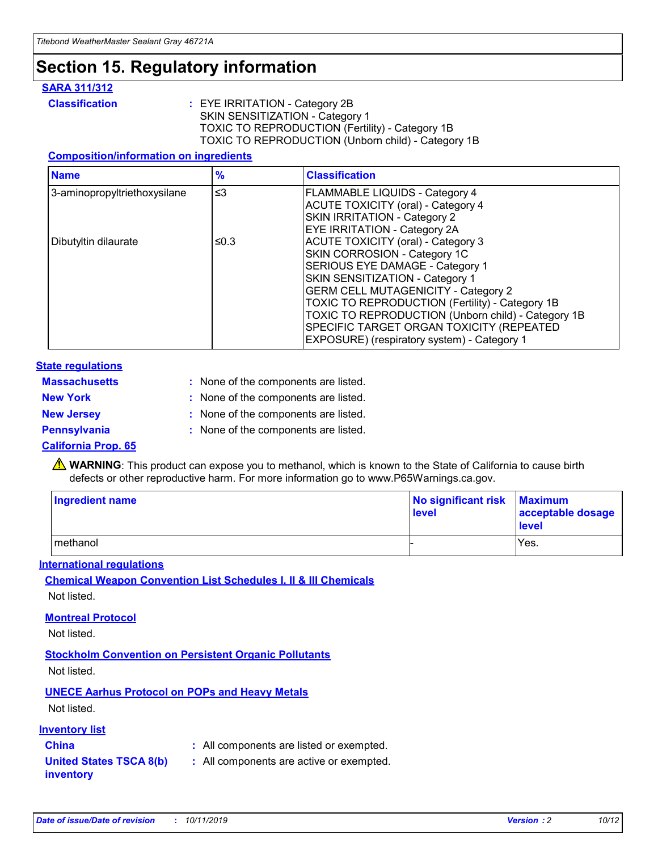## **Section 15. Regulatory information**

#### **SARA 311/312**

**Classification :** EYE IRRITATION - Category 2B SKIN SENSITIZATION - Category 1 TOXIC TO REPRODUCTION (Fertility) - Category 1B TOXIC TO REPRODUCTION (Unborn child) - Category 1B

#### **Composition/information on ingredients**

| <b>Name</b>                  | $\frac{9}{6}$ | <b>Classification</b>                                                                                            |
|------------------------------|---------------|------------------------------------------------------------------------------------------------------------------|
| 3-aminopropyltriethoxysilane | $\leq$ 3      | <b>FLAMMABLE LIQUIDS - Category 4</b><br><b>ACUTE TOXICITY (oral) - Category 4</b>                               |
|                              |               | SKIN IRRITATION - Category 2<br>EYE IRRITATION - Category 2A                                                     |
| Dibutyltin dilaurate         | ≤0.3          | ACUTE TOXICITY (oral) - Category 3<br>SKIN CORROSION - Category 1C                                               |
|                              |               | SERIOUS EYE DAMAGE - Category 1<br>SKIN SENSITIZATION - Category 1<br><b>GERM CELL MUTAGENICITY - Category 2</b> |
|                              |               | TOXIC TO REPRODUCTION (Fertility) - Category 1B<br>TOXIC TO REPRODUCTION (Unborn child) - Category 1B            |
|                              |               | SPECIFIC TARGET ORGAN TOXICITY (REPEATED<br>EXPOSURE) (respiratory system) - Category 1                          |

#### **State regulations**

| <b>Massachusetts</b> | : None of the components are listed. |
|----------------------|--------------------------------------|
| <b>New York</b>      | : None of the components are listed. |
| <b>New Jersey</b>    | : None of the components are listed. |
| Pennsylvania         | : None of the components are listed. |

#### **California Prop. 65**

**A** WARNING: This product can expose you to methanol, which is known to the State of California to cause birth defects or other reproductive harm. For more information go to www.P65Warnings.ca.gov.

| <b>Ingredient name</b> | No significant risk Maximum<br>level | acceptable dosage<br>level |
|------------------------|--------------------------------------|----------------------------|
| methanol               |                                      | Yes.                       |

#### **International regulations**

**Chemical Weapon Convention List Schedules I, II & III Chemicals** Not listed.

#### **Montreal Protocol**

Not listed.

#### **Stockholm Convention on Persistent Organic Pollutants**

Not listed.

### **UNECE Aarhus Protocol on POPs and Heavy Metals**

Not listed.

#### **Inventory list**

### **China :** All components are listed or exempted.

**United States TSCA 8(b) inventory :** All components are active or exempted.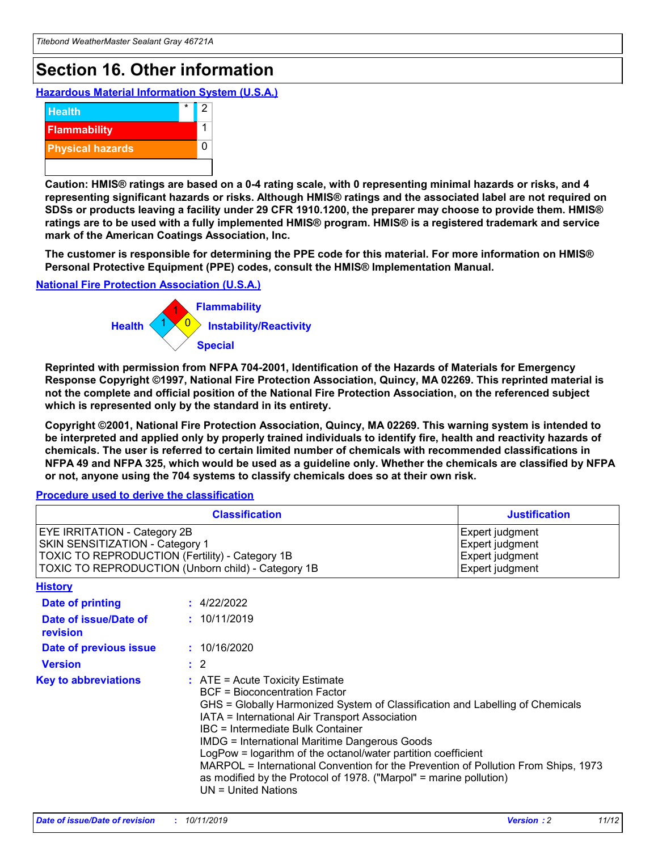## **Section 16. Other information**

**Hazardous Material Information System (U.S.A.)**



**Caution: HMIS® ratings are based on a 0-4 rating scale, with 0 representing minimal hazards or risks, and 4 representing significant hazards or risks. Although HMIS® ratings and the associated label are not required on SDSs or products leaving a facility under 29 CFR 1910.1200, the preparer may choose to provide them. HMIS® ratings are to be used with a fully implemented HMIS® program. HMIS® is a registered trademark and service mark of the American Coatings Association, Inc.**

**The customer is responsible for determining the PPE code for this material. For more information on HMIS® Personal Protective Equipment (PPE) codes, consult the HMIS® Implementation Manual.**

#### **National Fire Protection Association (U.S.A.)**



**Reprinted with permission from NFPA 704-2001, Identification of the Hazards of Materials for Emergency Response Copyright ©1997, National Fire Protection Association, Quincy, MA 02269. This reprinted material is not the complete and official position of the National Fire Protection Association, on the referenced subject which is represented only by the standard in its entirety.**

**Copyright ©2001, National Fire Protection Association, Quincy, MA 02269. This warning system is intended to be interpreted and applied only by properly trained individuals to identify fire, health and reactivity hazards of chemicals. The user is referred to certain limited number of chemicals with recommended classifications in NFPA 49 and NFPA 325, which would be used as a guideline only. Whether the chemicals are classified by NFPA or not, anyone using the 704 systems to classify chemicals does so at their own risk.**

#### **Procedure used to derive the classification**

| <b>Classification</b>                                                                                                                                                    |                                                                                                                                                                                                                                                                                                                                                                                                                                                                                                                                                               | <b>Justification</b>                                                     |
|--------------------------------------------------------------------------------------------------------------------------------------------------------------------------|---------------------------------------------------------------------------------------------------------------------------------------------------------------------------------------------------------------------------------------------------------------------------------------------------------------------------------------------------------------------------------------------------------------------------------------------------------------------------------------------------------------------------------------------------------------|--------------------------------------------------------------------------|
| EYE IRRITATION - Category 2B<br>SKIN SENSITIZATION - Category 1<br>TOXIC TO REPRODUCTION (Fertility) - Category 1B<br>TOXIC TO REPRODUCTION (Unborn child) - Category 1B |                                                                                                                                                                                                                                                                                                                                                                                                                                                                                                                                                               | Expert judgment<br>Expert judgment<br>Expert judgment<br>Expert judgment |
| <b>History</b>                                                                                                                                                           |                                                                                                                                                                                                                                                                                                                                                                                                                                                                                                                                                               |                                                                          |
| <b>Date of printing</b>                                                                                                                                                  | : 4/22/2022                                                                                                                                                                                                                                                                                                                                                                                                                                                                                                                                                   |                                                                          |
| Date of issue/Date of<br>revision                                                                                                                                        | : 10/11/2019                                                                                                                                                                                                                                                                                                                                                                                                                                                                                                                                                  |                                                                          |
| Date of previous issue                                                                                                                                                   | : 10/16/2020                                                                                                                                                                                                                                                                                                                                                                                                                                                                                                                                                  |                                                                          |
| <b>Version</b>                                                                                                                                                           | $\therefore$ 2                                                                                                                                                                                                                                                                                                                                                                                                                                                                                                                                                |                                                                          |
| <b>Key to abbreviations</b>                                                                                                                                              | $:$ ATE = Acute Toxicity Estimate<br><b>BCF</b> = Bioconcentration Factor<br>GHS = Globally Harmonized System of Classification and Labelling of Chemicals<br>IATA = International Air Transport Association<br>IBC = Intermediate Bulk Container<br><b>IMDG = International Maritime Dangerous Goods</b><br>LogPow = logarithm of the octanol/water partition coefficient<br>MARPOL = International Convention for the Prevention of Pollution From Ships, 1973<br>as modified by the Protocol of 1978. ("Marpol" = marine pollution)<br>UN = United Nations |                                                                          |